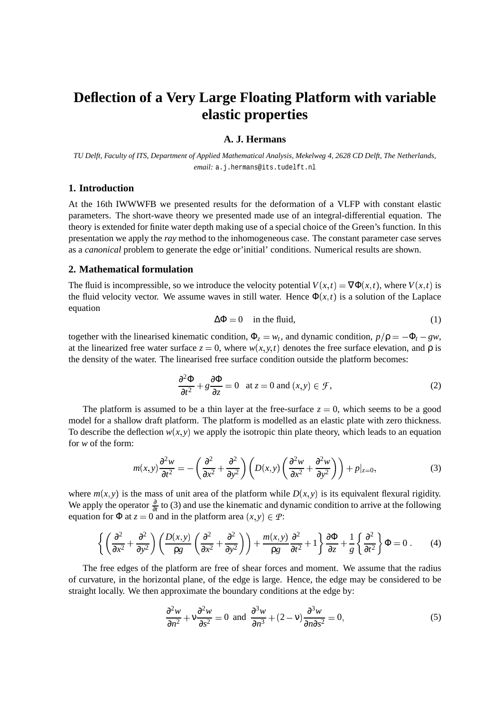# **Deflection of a Very Large Floating Platform with variable elastic properties**

# **A. J. Hermans**

TU Delft, Faculty of ITS, Department of Applied Mathematical Analysis, Mekelweg 4, 2628 CD Delft, The Netherlands, *email:* a.j.hermans@its.tudelft.nl

#### **1. Introduction**

At the 16th IWWWFB we presented results for the deformation of a VLFP with constant elastic parameters. The short-wave theory we presented made use of an integral-differential equation. The theory is extended for finite water depth making use of a special choice of the Green's function. In this presentation we apply the *ray* method to the inhomogeneous case. The constant parameter case serves as a *canonical* problem to generate the edge or'initial' conditions. Numerical results are shown.

#### **2. Mathematical formulation**

The fluid is incompressible, so we introduce the velocity potential  $V(x,t) = \nabla \Phi(x,t)$ , where  $V(x,t)$  is the fluid velocity vector. We assume waves in still water. Hence  $\Phi(x, t)$  is a solution of the Laplace equation

$$
\Delta \Phi = 0 \quad \text{in the fluid}, \tag{1}
$$

together with the linearised kinematic condition,  $\Phi_z = w_t$ , and dynamic condition,  $p/\rho = -\Phi_t - gw$ , at the linearized free water surface  $z = 0$ , where  $w(x, y, t)$  denotes the free surface elevation, and  $\rho$  is the density of the water. The linearised free surface condition outside the platform becomes:

$$
\frac{\partial^2 \Phi}{\partial t^2} + g \frac{\partial \Phi}{\partial z} = 0 \quad \text{at } z = 0 \text{ and } (x, y) \in \mathcal{F}, \tag{2}
$$

The platform is assumed to be a thin layer at the free-surface  $z = 0$ , which seems to be a good model for a shallow draft platform. The platform is modelled as an elastic plate with zero thickness. To describe the deflection  $w(x, y)$  we apply the isotropic thin plate theory, which leads to an equation for *w* of the form:

$$
m(x,y)\frac{\partial^2 w}{\partial t^2} = -\left(\frac{\partial^2}{\partial x^2} + \frac{\partial^2}{\partial y^2}\right) \left(D(x,y)\left(\frac{\partial^2 w}{\partial x^2} + \frac{\partial^2 w}{\partial y^2}\right)\right) + p|_{z=0},\tag{3}
$$

where  $m(x, y)$  is the mass of unit area of the platform while  $D(x, y)$  is its equivalent flexural rigidity. We apply the operator  $\frac{\partial}{\partial t}$  to (3) and use the kinematic and dynamic condition to arrive at the following equation for  $\Phi$  at  $z = 0$  and in the platform area  $(x, y) \in \mathcal{P}$ :

$$
\left\{ \left( \frac{\partial^2}{\partial x^2} + \frac{\partial^2}{\partial y^2} \right) \left( \frac{D(x, y)}{\rho g} \left( \frac{\partial^2}{\partial x^2} + \frac{\partial^2}{\partial y^2} \right) \right) + \frac{m(x, y)}{\rho g} \frac{\partial^2}{\partial t^2} + 1 \right\} \frac{\partial \Phi}{\partial z} + \frac{1}{g} \left\{ \frac{\partial^2}{\partial t^2} \right\} \Phi = 0 \ . \tag{4}
$$

The free edges of the platform are free of shear forces and moment. We assume that the radius of curvature, in the horizontal plane, of the edge is large. Hence, the edge may be considered to be straight locally. We then approximate the boundary conditions at the edge by:

$$
\frac{\partial^2 w}{\partial n^2} + v \frac{\partial^2 w}{\partial s^2} = 0 \text{ and } \frac{\partial^3 w}{\partial n^3} + (2 - v) \frac{\partial^3 w}{\partial n \partial s^2} = 0,
$$
 (5)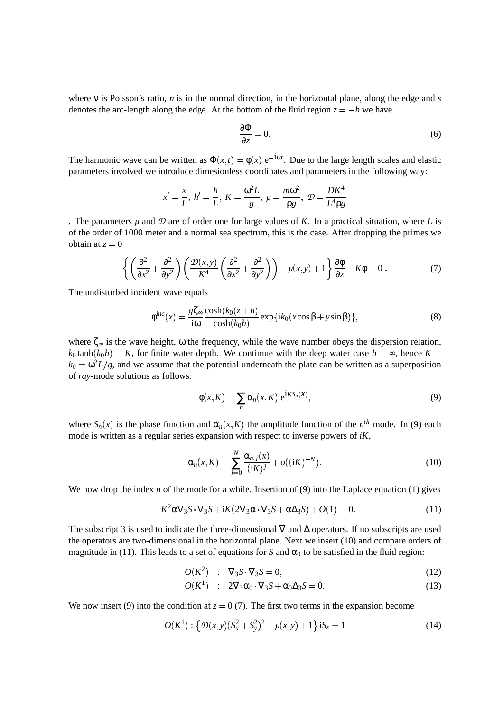where ν is Poisson's ratio, *n* is in the normal direction, in the horizontal plane, along the edge and *s* denotes the arc-length along the edge. At the bottom of the fluid region  $z = -h$  we have

$$
\frac{\partial \Phi}{\partial z} = 0. \tag{6}
$$

The harmonic wave can be written as  $\Phi(x,t) = \phi(x) e^{-i\omega t}$ . Due to the large length scales and elastic parameters involved we introduce dimesionless coordinates and parameters in the following way:

$$
x' = \frac{x}{L}, h' = \frac{h}{L}, K = \frac{\omega^2 L}{g}, \mu = \frac{m\omega^2}{\rho g}, \mathcal{D} = \frac{DK^4}{L^4 \rho g}
$$

. The parameters  $\mu$  and  $\mathcal D$  are of order one for large values of *K*. In a practical situation, where *L* is of the order of 1000 meter and a normal sea spectrum, this is the case. After dropping the primes we obtain at  $z = 0$ 

$$
\left\{ \left( \frac{\partial^2}{\partial x^2} + \frac{\partial^2}{\partial y^2} \right) \left( \frac{\mathcal{D}(x, y)}{K^4} \left( \frac{\partial^2}{\partial x^2} + \frac{\partial^2}{\partial y^2} \right) \right) - \mu(x, y) + 1 \right\} \frac{\partial \phi}{\partial z} - K\phi = 0 \,. \tag{7}
$$

The undisturbed incident wave equals

$$
\phi^{inc}(x) = \frac{g\zeta_{\infty}}{i\omega} \frac{\cosh(k_0(z+h))}{\cosh(k_0h)} \exp\{ik_0(x\cos\beta + y\sin\beta)\},\tag{8}
$$

where  $\zeta_{\infty}$  is the wave height,  $\omega$  the frequency, while the wave number obeys the dispersion relation,  $k_0$  tanh  $(k_0 h) = K$ , for finite water depth. We contimue with the deep water case  $h = \infty$ , hence  $K =$  $k_0 = \omega^2 L/g$ , and we assume that the potential underneath the plate can be written as a superposition of *ray*-mode solutions as follows:

$$
\phi(x,K) = \sum_{n} \alpha_n(x,K) e^{iK S_n(X)},
$$
\n(9)

where  $S_n(x)$  is the phase function and  $\alpha_n(x, K)$  the amplitude function of the  $n^{th}$  mode. In (9) each mode is written as a regular series expansion with respect to inverse powers of *iK*,

$$
\alpha_n(x,K) = \sum_{j=0}^N \frac{\alpha_{n,j}(x)}{(iK)^j} + o((iK)^{-N}).
$$
\n(10)

We now drop the index *n* of the mode for a while. Insertion of (9) into the Laplace equation (1) gives

$$
-K^2 \alpha \nabla_3 S \cdot \nabla_3 S + iK(2\nabla_3 \alpha \cdot \nabla_3 S + \alpha \Delta_3 S) + O(1) = 0.
$$
 (11)

The subscript 3 is used to indicate the three-dimensional  $\nabla$  and  $\Delta$  operators. If no subscripts are used the operators are two-dimensional in the horizontal plane. Next we insert (10) and compare orders of magnitude in (11). This leads to a set of equations for *S* and  $\alpha_0$  to be satisfied in the fluid region:

$$
O(K2) : \nabla_3 S \cdot \nabla_3 S = 0,\tag{12}
$$

$$
O(K1) : 2\nabla_3 \alpha_0 \cdot \nabla_3 S + \alpha_0 \Delta_3 S = 0.
$$
 (13)

We now insert (9) into the condition at  $z = 0$  (7). The first two terms in the expansion become

$$
O(K^{1}): \{ \mathcal{D}(x, y)(S_{x}^{2} + S_{y}^{2})^{2} - \mu(x, y) + 1 \} \text{ is } S_{z} = 1
$$
\n(14)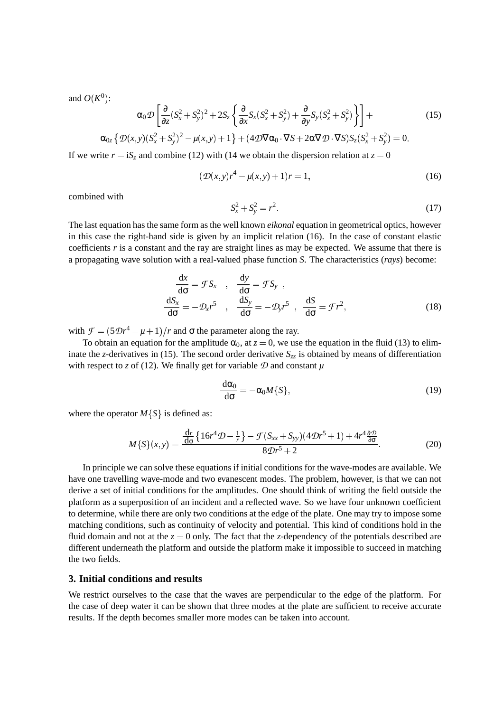and  $O(K^0)$ :

$$
\alpha_0 \mathcal{D} \left[ \frac{\partial}{\partial z} (S_x^2 + S_y^2)^2 + 2S_z \left\{ \frac{\partial}{\partial x} S_x (S_x^2 + S_y^2) + \frac{\partial}{\partial y} S_y (S_x^2 + S_y^2) \right\} \right] +
$$
(15)

$$
\alpha_{0z} \left\{ \mathcal{D}(x,y) (S_x^2 + S_y^2)^2 - \mu(x,y) + 1 \right\} + (4 \mathcal{D} \nabla \alpha_0 \cdot \nabla S + 2 \alpha \nabla \mathcal{D} \cdot \nabla S) S_z (S_x^2 + S_y^2) = 0.
$$

If we write  $r = iS_z$  and combine (12) with (14 we obtain the dispersion relation at  $z = 0$ 

$$
(\mathcal{D}(x, y)r^4 - \mu(x, y) + 1)r = 1,\t(16)
$$

combined with

$$
S_x^2 + S_y^2 = r^2. \tag{17}
$$

The last equation hasthe same form asthe well known *eikonal* equation in geometrical optics, however in this case the right-hand side is given by an implicit relation (16). In the case of constant elastic coefficients  $r$  is a constant and the ray are straight lines as may be expected. We assume that there is a propagating wave solution with a real-valued phase function *S*. The characteristics (*rays*) become:

$$
\frac{dx}{d\sigma} = \mathcal{F}S_x \quad , \quad \frac{dy}{d\sigma} = \mathcal{F}S_y \quad ,
$$

$$
\frac{dS_x}{d\sigma} = -\mathcal{D}_x r^5 \quad , \quad \frac{dS_y}{d\sigma} = -\mathcal{D}_y r^5 \quad , \quad \frac{dS}{d\sigma} = \mathcal{F}r^2,
$$
(18)

with  $\mathcal{F} = (5\mathcal{D}r^4 - \mu + 1)/r$  and  $\sigma$  the parameter along the ray.

To obtain an equation for the amplitude  $\alpha_0$ , at  $z = 0$ , we use the equation in the fluid (13) to eliminate the *z*-derivatives in (15). The second order derivative  $S_{zz}$  is obtained by means of differentiation with respect to *z* of (12). We finally get for variable  $\mathcal D$  and constant  $\mu$ 

$$
\frac{d\alpha_0}{d\sigma} = -\alpha_0 M\{S\},\qquad(19)
$$

where the operator  $M\{S\}$  is defined as:

$$
M\{S\}(x,y) = \frac{\frac{dr}{d\sigma}\{16r^4\mathcal{D} - \frac{1}{r}\} - \mathcal{F}(S_{xx} + S_{yy})(4\mathcal{D}r^5 + 1) + 4r^4\frac{\partial \mathcal{D}}{\partial \sigma}}{8\mathcal{D}r^5 + 2}.
$$
 (20)

In principle we can solve these equations if initial conditions for the wave-modes are available. We have one travelling wave-mode and two evanescent modes. The problem, however, is that we can not derive a set of initial conditions for the amplitudes. One should think of writing the field outside the platform as a superposition of an incident and a reflected wave. So we have four unknown coefficient to determine, while there are only two conditions at the edge of the plate. One may try to impose some matching conditions, such as continuity of velocity and potential. This kind of conditions hold in the fluid domain and not at the  $z = 0$  only. The fact that the *z*-dependency of the potentials described are different underneath the platform and outside the platform make it impossible to succeed in matching the two fields.

### **3. Initial conditions and results**

We restrict ourselves to the case that the waves are perpendicular to the edge of the platform. For the case of deep water it can be shown that three modes at the plate are sufficient to receive accurate results. If the depth becomes smaller more modes can be taken into account.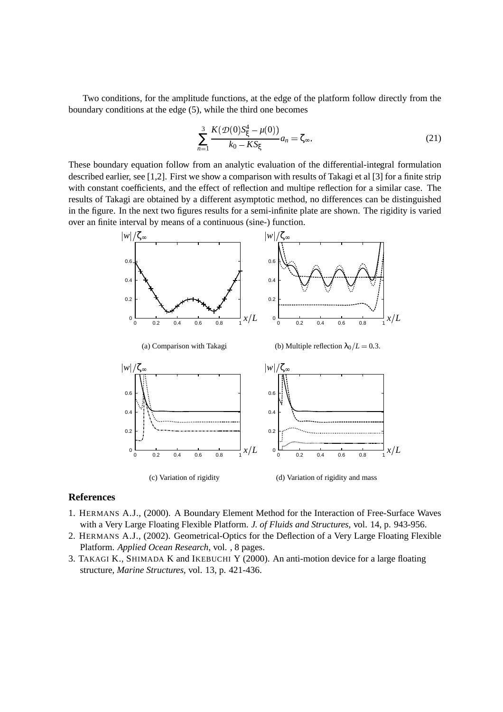Two conditions, for the amplitude functions, at the edge of the platform follow directly from the boundary conditions at the edge (5), while the third one becomes

$$
\sum_{n=1}^{3} \frac{K(\mathcal{D}(0)S_{\xi}^{4} - \mu(0))}{k_0 - K S_{\xi}} a_n = \zeta_{\infty}.
$$
 (21)

These boundary equation follow from an analytic evaluation of the differential-integral formulation described earlier, see [1,2]. First we show a comparison with results of Takagi et al [3] for a finite strip with constant coefficients, and the effect of reflection and multipe reflection for a similar case. The results of Takagi are obtained by a different asymptotic method, no differences can be distinguished in the figure. In the next two figures results for a semi-infinite plate are shown. The rigidity is varied over an finite interval by means of a continuous (sine-) function.



### **References**

- 1. HERMANS A.J., (2000). A Boundary Element Method for the Interaction of Free-Surface Waves with a Very Large Floating Flexible Platform. *J. of Fluids and Structures*, vol. 14, p. 943-956.
- 2. HERMANS A.J., (2002). Geometrical-Optics for the Deflection of a Very Large Floating Flexible Platform. *Applied Ocean Research*, vol. , 8 pages.
- 3. TAKAGI K., SHIMADA K and IKEBUCHI Y (2000). An anti-motion device for a large floating structure, *Marine Structures*, vol. 13, p. 421-436.